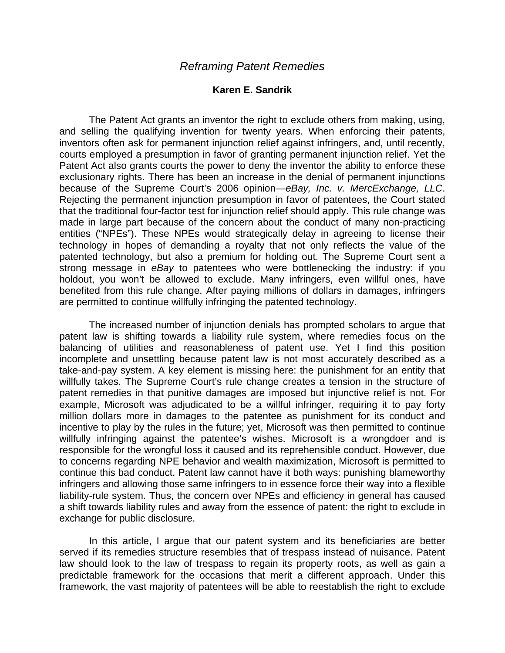## *Reframing Patent Remedies*

## **Karen E. Sandrik**

The Patent Act grants an inventor the right to exclude others from making, using, and selling the qualifying invention for twenty years. When enforcing their patents, inventors often ask for permanent injunction relief against infringers, and, until recently, courts employed a presumption in favor of granting permanent injunction relief. Yet the Patent Act also grants courts the power to deny the inventor the ability to enforce these exclusionary rights. There has been an increase in the denial of permanent injunctions because of the Supreme Court's 2006 opinion—*eBay, Inc. v. MercExchange, LLC*. Rejecting the permanent injunction presumption in favor of patentees, the Court stated that the traditional four-factor test for injunction relief should apply. This rule change was made in large part because of the concern about the conduct of many non-practicing entities ("NPEs"). These NPEs would strategically delay in agreeing to license their technology in hopes of demanding a royalty that not only reflects the value of the patented technology, but also a premium for holding out. The Supreme Court sent a strong message in *eBay* to patentees who were bottlenecking the industry: if you holdout, you won't be allowed to exclude. Many infringers, even willful ones, have benefited from this rule change. After paying millions of dollars in damages, infringers are permitted to continue willfully infringing the patented technology.

The increased number of injunction denials has prompted scholars to argue that patent law is shifting towards a liability rule system, where remedies focus on the balancing of utilities and reasonableness of patent use. Yet I find this position incomplete and unsettling because patent law is not most accurately described as a take-and-pay system. A key element is missing here: the punishment for an entity that willfully takes. The Supreme Court's rule change creates a tension in the structure of patent remedies in that punitive damages are imposed but injunctive relief is not. For example, Microsoft was adjudicated to be a willful infringer, requiring it to pay forty million dollars more in damages to the patentee as punishment for its conduct and incentive to play by the rules in the future; yet, Microsoft was then permitted to continue willfully infringing against the patentee's wishes. Microsoft is a wrongdoer and is responsible for the wrongful loss it caused and its reprehensible conduct. However, due to concerns regarding NPE behavior and wealth maximization, Microsoft is permitted to continue this bad conduct. Patent law cannot have it both ways: punishing blameworthy infringers and allowing those same infringers to in essence force their way into a flexible liability-rule system. Thus, the concern over NPEs and efficiency in general has caused a shift towards liability rules and away from the essence of patent: the right to exclude in exchange for public disclosure.

In this article, I argue that our patent system and its beneficiaries are better served if its remedies structure resembles that of trespass instead of nuisance. Patent law should look to the law of trespass to regain its property roots, as well as gain a predictable framework for the occasions that merit a different approach. Under this framework, the vast majority of patentees will be able to reestablish the right to exclude